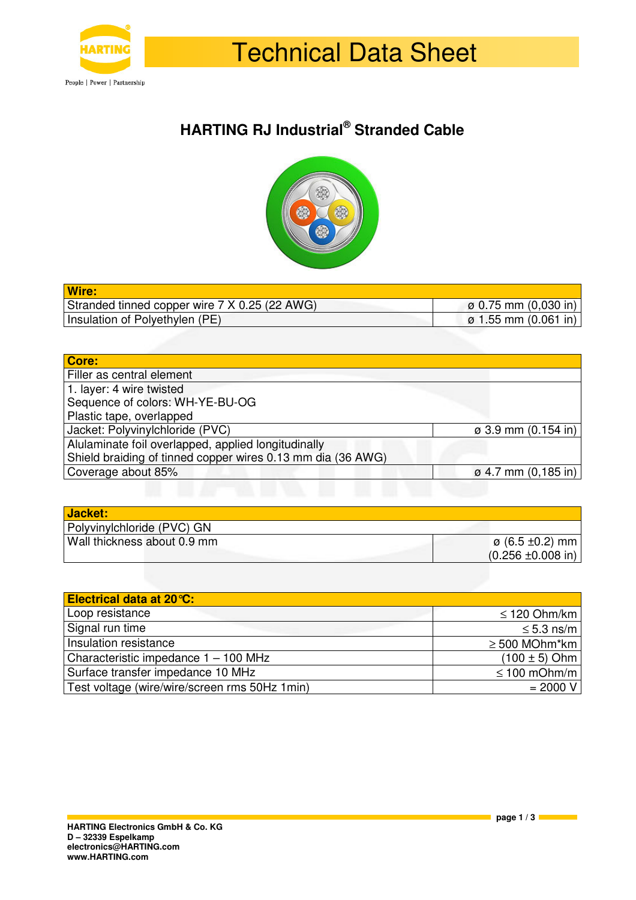

## Technical Data Sheet

### **HARTING RJ Industrial® Stranded Cable**



| Wire:                                         |                                  |
|-----------------------------------------------|----------------------------------|
| Stranded tinned copper wire 7 X 0.25 (22 AWG) | $\sigma$ 0.75 mm (0,030 in)      |
| Insulation of Polyethylen (PE)                | $\varnothing$ 1.55 mm (0.061 in) |

| Core:                                                       |                            |
|-------------------------------------------------------------|----------------------------|
| Filler as central element                                   |                            |
| 1. layer: 4 wire twisted                                    |                            |
| Sequence of colors: WH-YE-BU-OG                             |                            |
| Plastic tape, overlapped                                    |                            |
| Jacket: Polyvinylchloride (PVC)                             | $\sigma$ 3.9 mm (0.154 in) |
| Alulaminate foil overlapped, applied longitudinally         |                            |
| Shield braiding of tinned copper wires 0.13 mm dia (36 AWG) |                            |
| Coverage about 85%                                          | $\sigma$ 4.7 mm (0,185 in) |

| Jacket:                     |                                |
|-----------------------------|--------------------------------|
| Polyvinylchloride (PVC) GN  |                                |
| Wall thickness about 0.9 mm | $\sigma$ (6.5 ±0.2) mm         |
|                             | $(0.256 \pm 0.008 \text{ in})$ |

| Electrical data at 20 °C:                     |                    |
|-----------------------------------------------|--------------------|
| Loop resistance                               | $\leq$ 120 Ohm/km  |
| Signal run time                               | $\leq$ 5.3 ns/m    |
| Insulation resistance                         | $\geq$ 500 MOhm*km |
| Characteristic impedance 1 - 100 MHz          | $(100 \pm 5)$ Ohm  |
| Surface transfer impedance 10 MHz             | $\leq$ 100 mOhm/m  |
| Test voltage (wire/wire/screen rms 50Hz 1min) | $= 2000 V$         |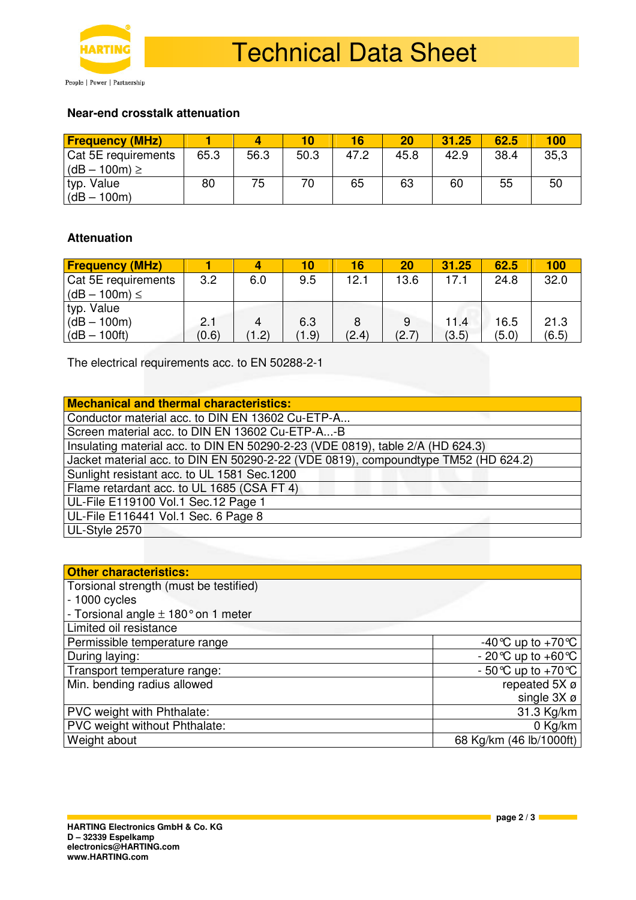

People | Power | Partnership

#### **Near-end crosstalk attenuation**

| <b>Frequency (MHz)</b> |      |      | 10   | 16   | 20   | 31.25 | 62.5 | 100  |
|------------------------|------|------|------|------|------|-------|------|------|
| Cat 5E requirements    | 65.3 | 56.3 | 50.3 | 47.2 | 45.8 | 42.9  | 38.4 | 35,3 |
| $ $ (dB – 100m) $\ge$  |      |      |      |      |      |       |      |      |
| typ. Value             | 80   | 75   | 70.  | 65   | 63   | 60    | 55   | 50   |
| $\vert$ (dB $-$ 100m)  |      |      |      |      |      |       |      |      |

#### **Attenuation**

| <b>Frequency (MHz)</b>     |       |       | 10    | 16    | 20    | 31.25 | 62.5  | 100   |
|----------------------------|-------|-------|-------|-------|-------|-------|-------|-------|
| Cat 5E requirements        | 3.2   | 6.0   | 9.5   | 12.1  | 13.6  | 17.1  | 24.8  | 32.0  |
| $\vert$ (dB – 100m) $\leq$ |       |       |       |       |       |       |       |       |
| typ. Value                 |       |       |       |       |       |       |       |       |
| $(dB - 100m)$              | 2.1   |       | 6.3   |       |       | 11.4  | 16.5  | 21.3  |
| $\vert$ (dB $-$ 100ft)     | (0.6) | (1.2) | (1.9) | (2.4) | (2.7) | (3.5) | (5.0) | (6.5) |

The electrical requirements acc. to EN 50288-2-1

| <b>Mechanical and thermal characteristics:</b>                                     |
|------------------------------------------------------------------------------------|
| Conductor material acc. to DIN EN 13602 Cu-ETP-A                                   |
| Screen material acc. to DIN EN 13602 Cu-ETP-A-B                                    |
| Insulating material acc. to DIN EN 50290-2-23 (VDE 0819), table 2/A (HD 624.3)     |
| Jacket material acc. to DIN EN 50290-2-22 (VDE 0819), compoundtype TM52 (HD 624.2) |
| Sunlight resistant acc. to UL 1581 Sec.1200                                        |
| Flame retardant acc. to UL 1685 (CSA FT 4)                                         |
| UL-File E119100 Vol.1 Sec.12 Page 1                                                |
| UL-File E116441 Vol.1 Sec. 6 Page 8                                                |
| UL-Style 2570                                                                      |
|                                                                                    |

| <b>Other characteristics:</b>                     |                                       |
|---------------------------------------------------|---------------------------------------|
| Torsional strength (must be testified)            |                                       |
| $-1000$ cycles                                    |                                       |
| - Torsional angle $\pm$ 180 $^{\circ}$ on 1 meter |                                       |
| Limited oil resistance                            |                                       |
| Permissible temperature range                     | -40 °C up to +70 °C                   |
| During laying:                                    | $-20^{\circ}$ C up to $+60^{\circ}$ C |
| Transport temperature range:                      | $-50^{\circ}$ C up to $+70^{\circ}$ C |
| Min. bending radius allowed                       | repeated 5X ø                         |
|                                                   | single 3X ø                           |
| PVC weight with Phthalate:                        | 31.3 Kg/km                            |
| PVC weight without Phthalate:                     | $0$ Kg/km                             |
| Weight about                                      | 68 Kg/km (46 lb/1000ft)               |